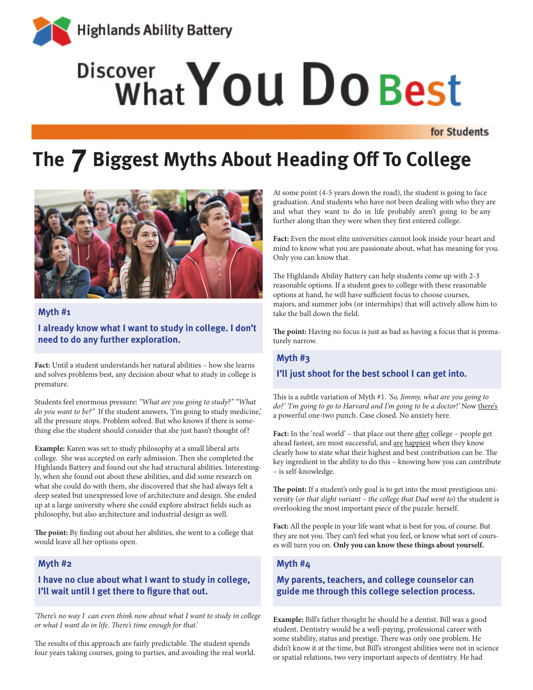

# Discover What You Do Best

for Students

# **The 7 Biggest Myths About Heading Off To College**



#### **Myth #1**

# **I already know what I want to study in college. I don't need to do any further exploration.**

**Fact:** Until a student understands her natural abilities – how she learns and solves problems best, any decision about what to study in college is premature.

Students feel enormous pressure: *"What are you going to study?" "What do you want to be?"* If the student answers, 'I'm going to study medicine,' all the pressure stops. Problem solved. But who knows if there is something else the student should consider that she just hasn't thought of?

**Example:** Karen was set to study philosophy at a small liberal arts college. She was accepted on early admission. Then she completed the Highlands Battery and found out she had structural abilities. Interestingly, when she found out about these abilities, and did some research on what she could do with them, she discovered that she had always felt a deep seated but unexpressed love of architecture and design. She ended up at a large university where she could explore abstract fields such as philosophy, but also architecture and industrial design as well.

**The point:** By finding out about her abilities, she went to a college that would leave all her options open.

### **Myth #2**

# **I have no clue about what I want to study in college, I'll wait until I get there to figure that out.**

*'There's no way I can even think now about what I want to study in college or what I want do in life. There's time enough for that.'*

The results of this approach are fairly predictable. The student spends four years taking courses, going to parties, and avoiding the real world. At some point (4-5 years down the road), the student is going to face graduation. And students who have not been dealing with who they are and what they want to do in life probably aren't going to be any further along than they were when they first entered college.

**Fact:** Even the most elite universities cannot look inside your heart and mind to know what you are passionate about, what has meaning for you. Only you can know that.

The Highlands Ability Battery can help students come up with 2-3 reasonable options. If a student goes to college with these reasonable options at hand, he will have sufficient focus to choose courses, majors, and summer jobs (or internships) that will actively allow him to take the ball down the field.

**The point:** Having no focus is just as bad as having a focus that is prematurely narrow.

# **Myth #3 I'll just shoot for the best school I can get into.**

This is a subtle variation of Myth #1. *'So, Jimmy, what are you going to do?' 'I'm going to go to Harvard and I'm going to be a doctor!'* Now there's a powerful one-two punch. Case closed. No anxiety here.

Fact: In the 'real world' – that place out there after college – people get ahead fastest, are most successful, and <u>are happiest</u> when they know clearly how to state what their highest and best contribution can be. The key ingredient in the ability to do this – knowing how you can contribute – is self-knowledge.

**The point:** If a student's only goal is to get into the most prestigious university (*or that slight variant – the college that Dad went to*) the student is overlooking the most important piece of the puzzle: herself.

**Fact:** All the people in your life want what is best for you, of course. But they are not you. They can't feel what you feel, or know what sort of courses will turn you on. **Only you can know these things about yourself.**

# **Myth #4**

# **My parents, teachers, and college counselor can guide me through this college selection process.**

**Example:** Bill's father thought he should be a dentist. Bill was a good student. Dentistry would be a well-paying, professional career with some stability, status and prestige. There was only one problem. He didn't know it at the time, but Bill's strongest abilities were not in science or spatial relations, two very important aspects of dentistry. He had